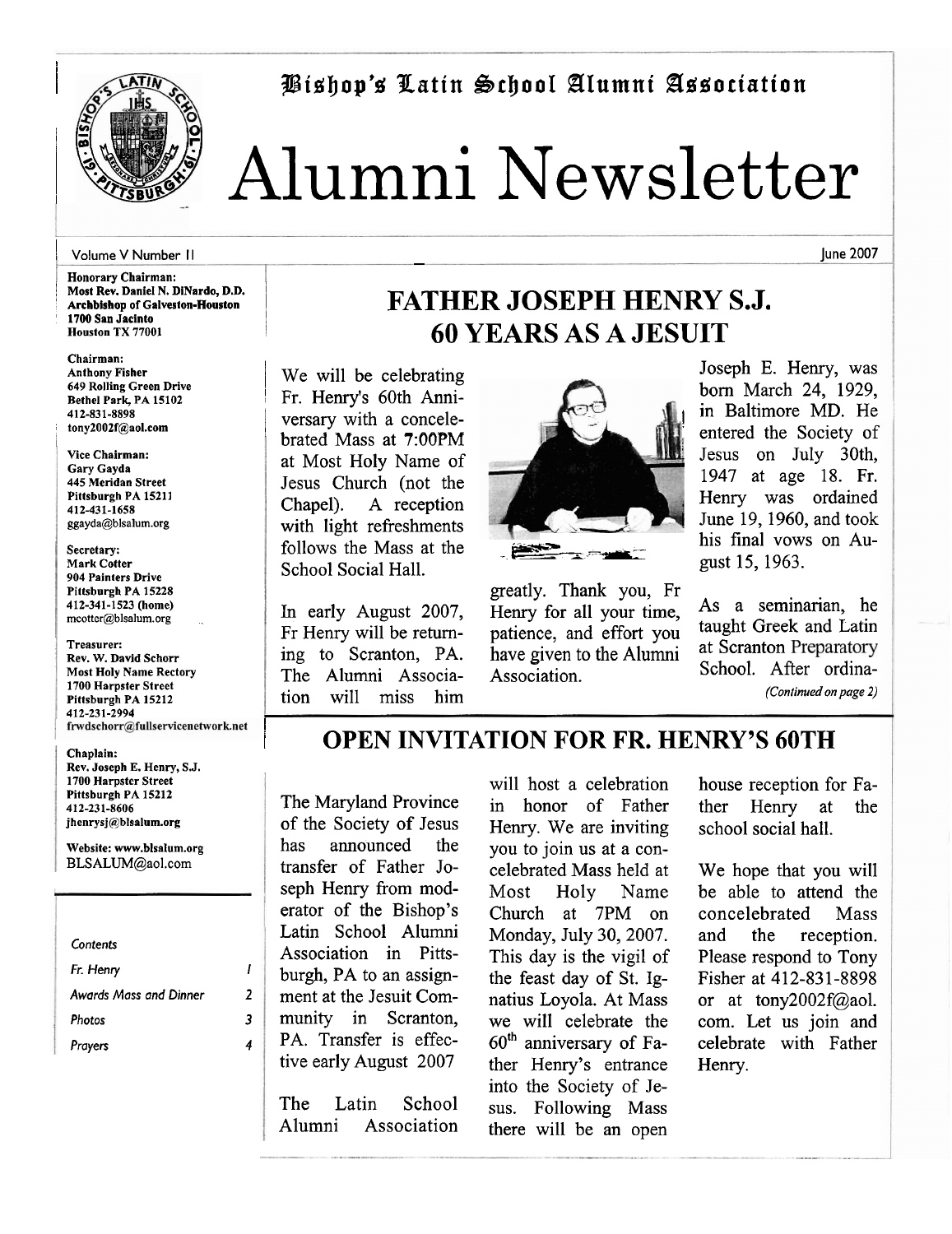



# <sup>I</sup>Alumni Newsletter

# <sup>I</sup>**Volume V Number I I** - **June 2007**

**Honorary Chairman:** Most Rev. Daniel N. DiNardo, D.D. <sup>I</sup>**Archbishop of Galveston-Houston**  ' **1700 San Jacinto Houston TX 77001** ,

**Chairman: Anthony Fisher 649 Rolling Green Drive Bethel Park, PA 15102 412-831-8898**  <sup>r</sup>**tony2002f@aol.com** 

**Vice Chairman: Gary Gayda 445 Meridan Street Pittsburgh PA 15211 412-431-1658 ggayda@blsalum.org** 

**Secretary: Mark Cotter 904 Painters Drive Pittsburgh PA 15228 412-341-1523 (home) mcotter@blsalum.org** .

**Treasurer: Rev. W. David Schorr Most Holy Name Rectory 1700 Harpster Street Pittsburgh PA 15212 412-231-2994** 

I

**Chaplain: Rev. Joseph E. Henry, S.J. 1700 Harpster Street Pittsburgh PA 15212 412-231-8606 jhenrysj@blsalum.org** 

**Website: www.blsalum.org BLSALUM@aol.com** 

**Contents Fr. Henry I Awards Mass and Dinner 2**  Photos 3 **Prayers 4** 

# **FATHER JOSEPH HENRY S.J. 60 YEARS AS A JESUIT**

We will be celebrating Fr. Henry's 60th Anniversary with a concelebrated Mass at 7:OOPM at Most Holy Name of Jesus Church (not the Chapel). A reception with light refreshments follows the Mass at the School Social Hall.

In early August 2007, Fr Henry will be returning to Scranton, PA. The Alumni Association will miss him



greatly. Thank you, Fr Henry for all your time,<br>here are a seminarian, here is a seminarian, here is a seminarian, here is a seminarian, here is a seminarian of the set of the set of the set of the set of the set of the set of the set of the set patience, and effort you taught Greek and Latin<br>have given to the Alumni at Scranton Preparatory have given to the Alumni Association. School. After ordina-

Joseph E. Henry, was born March 24, 1929, in Baltimore MD. He entered the Society of Jesus on July 30th, 1947 at age 18. Fr. Henry was ordained June 19,1960, and took gust 15, 1963.

*(Continued on page* **2)** 

## <sup>1</sup>**OPEN INVITATION FOR FR. HENRY'S 60TH**

The Maryland Province of the Society of Jesus has announced the transfer of Father Joseph Henry from moderator of the Bishop's Latin School Alumni Association in Pittsburgh, PA to an assignment at the Jesuit Community in Scranton, PA. Transfer is effective early August 2007

The Latin School Alumni Association will host a celebration in honor of Father Henry. We are inviting you to join us at a concelebrated Mass held at Most Holy Name Church at 7PM on Monday, July 30,2007. This day is the vigil of the feast day of St. Ignatius Loyola. At Mass we will celebrate the **6oth** anniversary of Father Henry's entrance into the Society of Jesus. Following Mass there will be an open

house reception for Father Henry at the school social hall.

We hope that you will be able to attend the concelebrated Mass and the reception. Please respond to Tony Fisher at 412-831-8898 or at tony2002f@aol. com. Let us join and celebrate with Father Henry.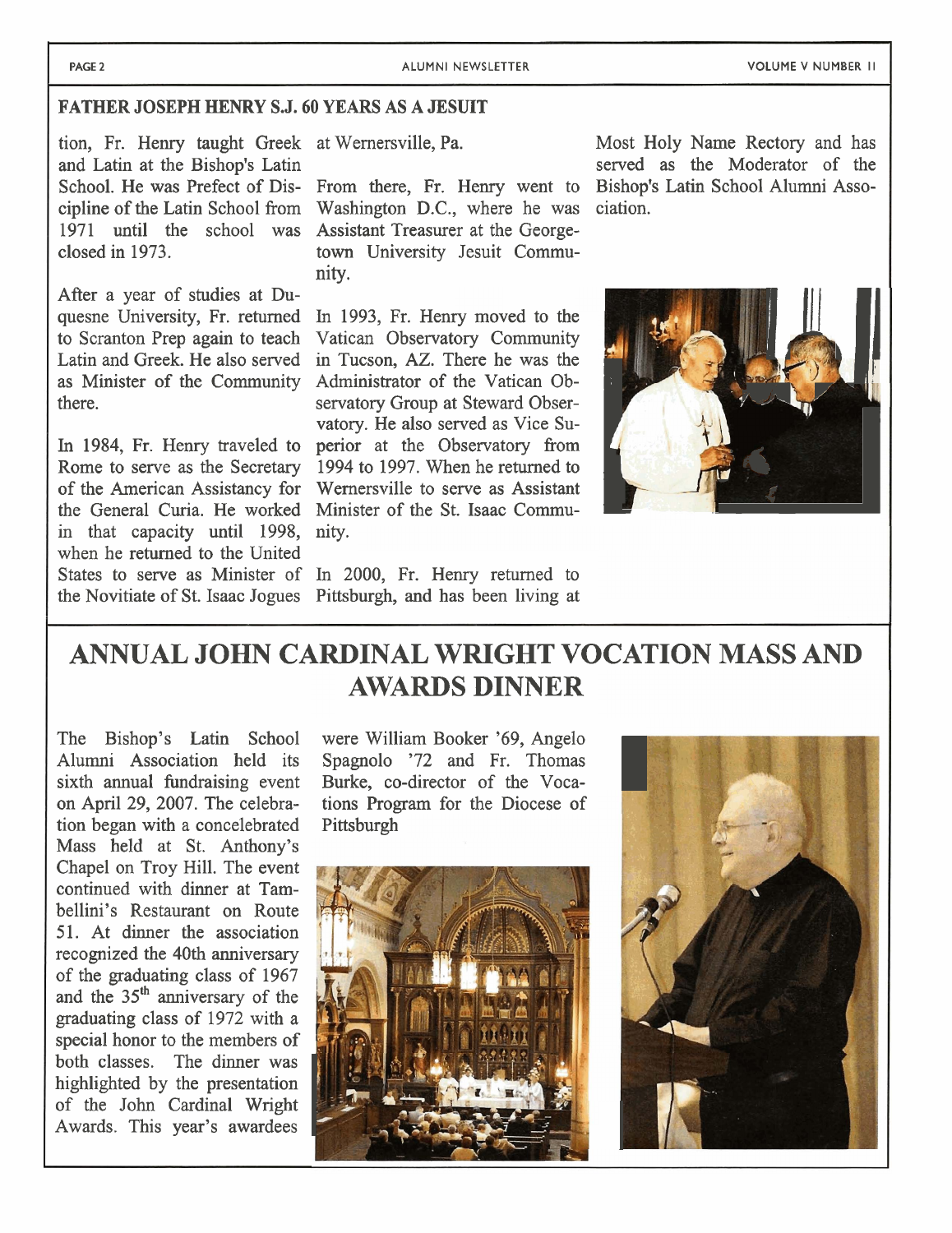**PAGE 2** ALUMNI NEWSLETTER VOLUME V NUMBER II **I** ALUMNI NEWSLETTER

### **FATHER JOSEPH HENRY S.J. 60 YEARS AS A JESUIT**

After a year of studies at Du-

In 1984, Fr. Henry traveled to in that capacity until 1998, nity. when he returned to the United States to serve as Minister of In 2000, Fr. Henry returned to

School. He was Prefect of Dis- From there, Fr. Henry went to cipline of the Latin School from Washington D.C., where he was ciation. 1971 until the school was Assistant Treasurer at the Georgeclosed in 1973. town University Jesuit Community.

quesne University, Fr. returned In 1993, Fr. Henry moved to the to Scranton Prep again to teach Vatican Observatory Community Vatican Observatory Community Latin and Greek. He also served in Tucson, AZ. There he was the as Minister of the Community Administrator of the Vatican Obthere. Servatory Group at Steward Observatory. He also served as Vice Su-<br>perior at the Observatory from Rome to serve as the Secretary 1994 to 1997. When he returned to of the American Assistancy for Wernersville to serve as Assistant the General Curia. He worked Minister of the St. Isaac Commu-

the Novitiate of St. Isaac Jogues Pittsburgh, and has been living at

tion, Fr. Henry taught Greek at Wernersville, Pa. Most Holy Name Rectory and has and Latin at the Bishop's Latin served as the Moderator of the and Latin at the Bishop's Latin<br>School. He was Prefect of Dis-From there. Fr. Henry went to Bishop's Latin School Alumni Asso-



# **ANNUAL JOHN CARDINAL WRIGHT VOCATION MASS AND AWARDS DINNER**

tion began with a concelebrated Pittsburgh Mass held at St. Anthony's Chapel on Troy Hill. The event continued with dinner at Tambellini's Restaurant on Route 51. At dinner the association recognized the 40th anniversary of the graduating class of 1967 and the 35'h anniversary of the graduating class of 1972 with a special honor to the members of both classes. The dinner was highlighted by the presentation of the John Cardinal Wright Awards. This year's awardees

The Bishop's Latin School were William Booker '69, Angelo Alumni Association held its Spagnolo '72 and Fr. Thomas sixth annual fundraising event Burke, co-director of the Voca-Burke, co-director of the Vocaon April 29, 2007. The celebra- tions Program for the Diocese of



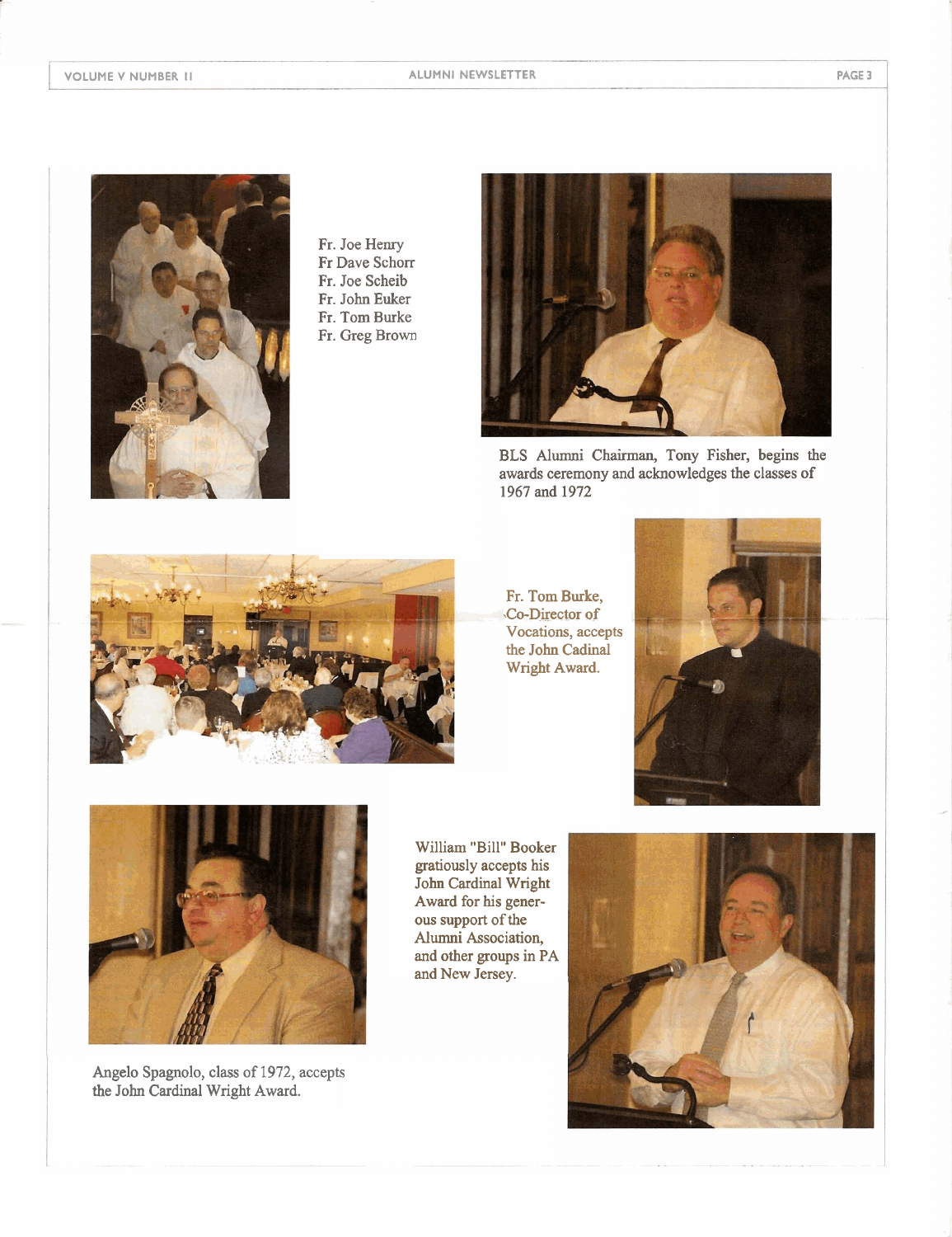

Fr. Joe Henry Fr Dave Schorr Fr. Joe Scheib Fr. John Euker Fr. Tom Burke Fr. Greg Brown



**BLS** Alumni Chairman, Tony Fisher, begins the awards ceremony and acknowledges the classes of 1967 and 1972



Fr. Tom Burke, Co-Director of Vocations, accepts the John **Cadinal**  Wright Award.





Angelo Spagnolo, class of 1972, accepts the John Cardinal Wright Award.

William "Bill" Booker gratiously accepts his John Cardinal Wright Award for his generous support of the Alumni Association, and other groups in PA and New Jersey.